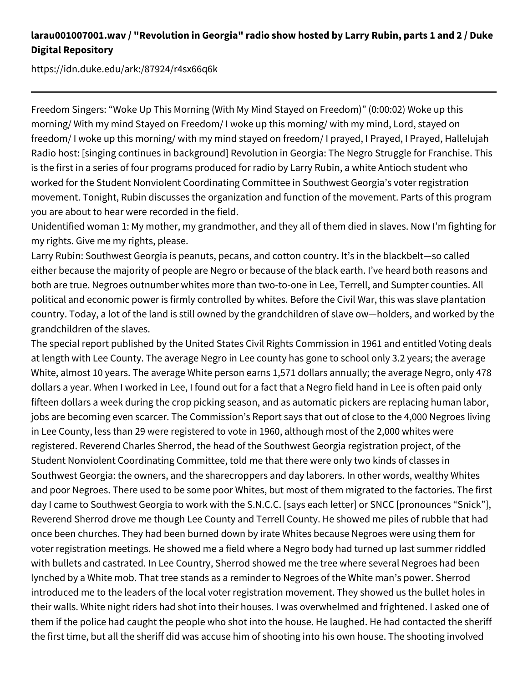## **larau001007001.wav / "Revolution in Georgia" radio show hosted by Larry Rubin, parts 1 and 2 / Duke Digital Repository**

https://idn.duke.edu/ark:/87924/r4sx66q6k

Freedom Singers: "Woke Up This Morning (With My Mind Stayed on Freedom)" (0:00:02) Woke up this morning/ With my mind Stayed on Freedom/ I woke up this morning/ with my mind, Lord, stayed on freedom/ I woke up this morning/ with my mind stayed on freedom/ I prayed, I Prayed, I Prayed, Hallelujah Radio host: [singing continues in background] Revolution in Georgia: The Negro Struggle for Franchise. This is the first in a series of four programs produced for radio by Larry Rubin, a white Antioch student who worked for the Student Nonviolent Coordinating Committee in Southwest Georgia's voter registration movement. Tonight, Rubin discusses the organization and function of the movement. Parts of this program you are about to hear were recorded in the field.

Unidentified woman 1: My mother, my grandmother, and they all of them died in slaves. Now I'm fighting for my rights. Give me my rights, please.

Larry Rubin: Southwest Georgia is peanuts, pecans, and cotton country. It's in the blackbelt—so called either because the majority of people are Negro or because of the black earth. I've heard both reasons and both are true. Negroes outnumber whites more than two-to-one in Lee, Terrell, and Sumpter counties. All political and economic power is firmly controlled by whites. Before the Civil War, this was slave plantation country. Today, a lot of the land is still owned by the grandchildren of slave ow—holders, and worked by the grandchildren of the slaves.

The special report published by the United States Civil Rights Commission in 1961 and entitled Voting deals at length with Lee County. The average Negro in Lee county has gone to school only 3.2 years; the average White, almost 10 years. The average White person earns 1,571 dollars annually; the average Negro, only 478 dollars a year. When I worked in Lee, I found out for a fact that a Negro field hand in Lee is often paid only fifteen dollars a week during the crop picking season, and as automatic pickers are replacing human labor, jobs are becoming even scarcer. The Commission's Report says that out of close to the 4,000 Negroes living in Lee County, less than 29 were registered to vote in 1960, although most of the 2,000 whites were registered. Reverend Charles Sherrod, the head of the Southwest Georgia registration project, of the Student Nonviolent Coordinating Committee, told me that there were only two kinds of classes in Southwest Georgia: the owners, and the sharecroppers and day laborers. In other words, wealthy Whites and poor Negroes. There used to be some poor Whites, but most of them migrated to the factories. The first day I came to Southwest Georgia to work with the S.N.C.C. [says each letter] or SNCC [pronounces "Snick"], Reverend Sherrod drove me though Lee County and Terrell County. He showed me piles of rubble that had once been churches. They had been burned down by irate Whites because Negroes were using them for voter registration meetings. He showed me a field where a Negro body had turned up last summer riddled with bullets and castrated. In Lee Country, Sherrod showed me the tree where several Negroes had been lynched by a White mob. That tree stands as a reminder to Negroes of the White man's power. Sherrod introduced me to the leaders of the local voter registration movement. They showed us the bullet holes in their walls. White night riders had shot into their houses. I was overwhelmed and frightened. I asked one of them if the police had caught the people who shot into the house. He laughed. He had contacted the sheriff the first time, but all the sheriff did was accuse him of shooting into his own house. The shooting involved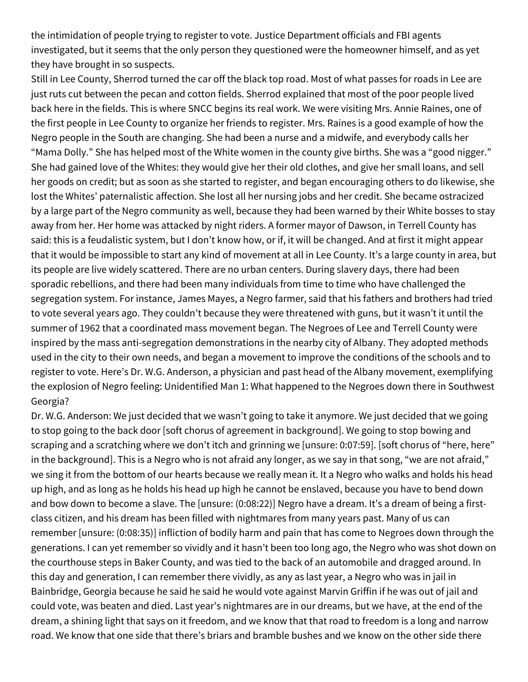the intimidation of people trying to register to vote. Justice Department officials and FBI agents investigated, but it seems that the only person they questioned were the homeowner himself, and as yet they have brought in so suspects.

Still in Lee County, Sherrod turned the car off the black top road. Most of what passes for roads in Lee are just ruts cut between the pecan and cotton fields. Sherrod explained that most of the poor people lived back here in the fields. This is where SNCC begins its real work. We were visiting Mrs. Annie Raines, one of the first people in Lee County to organize her friends to register. Mrs. Raines is a good example of how the Negro people in the South are changing. She had been a nurse and a midwife, and everybody calls her "Mama Dolly." She has helped most of the White women in the county give births. She was a "good nigger." She had gained love of the Whites: they would give her their old clothes, and give her small loans, and sell her goods on credit; but as soon as she started to register, and began encouraging others to do likewise, she lost the Whites' paternalistic affection. She lost all her nursing jobs and her credit. She became ostracized by a large part of the Negro community as well, because they had been warned by their White bosses to stay away from her. Her home was attacked by night riders. A former mayor of Dawson, in Terrell County has said: this is a feudalistic system, but I don't know how, or if, it will be changed. And at first it might appear that it would be impossible to start any kind of movement at all in Lee County. It's a large county in area, but its people are live widely scattered. There are no urban centers. During slavery days, there had been sporadic rebellions, and there had been many individuals from time to time who have challenged the segregation system. For instance, James Mayes, a Negro farmer, said that his fathers and brothers had tried to vote several years ago. They couldn't because they were threatened with guns, but it wasn't it until the summer of 1962 that a coordinated mass movement began. The Negroes of Lee and Terrell County were inspired by the mass anti-segregation demonstrations in the nearby city of Albany. They adopted methods used in the city to their own needs, and began a movement to improve the conditions of the schools and to register to vote. Here's Dr. W.G. Anderson, a physician and past head of the Albany movement, exemplifying the explosion of Negro feeling: Unidentified Man 1: What happened to the Negroes down there in Southwest Georgia?

Dr. W.G. Anderson: We just decided that we wasn't going to take it anymore. We just decided that we going to stop going to the back door [soft chorus of agreement in background]. We going to stop bowing and scraping and a scratching where we don't itch and grinning we [unsure: 0:07:59]. [soft chorus of "here, here" in the background]. This is a Negro who is not afraid any longer, as we say in that song, "we are not afraid," we sing it from the bottom of our hearts because we really mean it. It a Negro who walks and holds his head up high, and as long as he holds his head up high he cannot be enslaved, because you have to bend down and bow down to become a slave. The [unsure: (0:08:22)] Negro have a dream. It's a dream of being a firstclass citizen, and his dream has been filled with nightmares from many years past. Many of us can remember [unsure: (0:08:35)] infliction of bodily harm and pain that has come to Negroes down through the generations. I can yet remember so vividly and it hasn't been too long ago, the Negro who was shot down on the courthouse steps in Baker County, and was tied to the back of an automobile and dragged around. In this day and generation, I can remember there vividly, as any as last year, a Negro who was in jail in Bainbridge, Georgia because he said he said he would vote against Marvin Griffin if he was out of jail and could vote, was beaten and died. Last year's nightmares are in our dreams, but we have, at the end of the dream, a shining light that says on it freedom, and we know that that road to freedom is a long and narrow road. We know that one side that there's briars and bramble bushes and we know on the other side there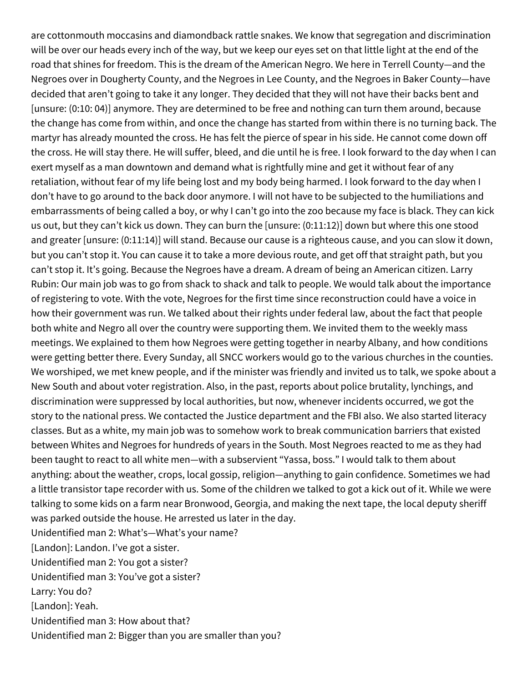are cottonmouth moccasins and diamondback rattle snakes. We know that segregation and discrimination will be over our heads every inch of the way, but we keep our eyes set on that little light at the end of the road that shines for freedom. This is the dream of the American Negro. We here in Terrell County—and the Negroes over in Dougherty County, and the Negroes in Lee County, and the Negroes in Baker County—have decided that aren't going to take it any longer. They decided that they will not have their backs bent and [unsure: (0:10: 04)] anymore. They are determined to be free and nothing can turn them around, because the change has come from within, and once the change has started from within there is no turning back. The martyr has already mounted the cross. He has felt the pierce of spear in his side. He cannot come down off the cross. He will stay there. He will suffer, bleed, and die until he is free. I look forward to the day when I can exert myself as a man downtown and demand what is rightfully mine and get it without fear of any retaliation, without fear of my life being lost and my body being harmed. I look forward to the day when I don't have to go around to the back door anymore. I will not have to be subjected to the humiliations and embarrassments of being called a boy, or why I can't go into the zoo because my face is black. They can kick us out, but they can't kick us down. They can burn the [unsure: (0:11:12)] down but where this one stood and greater [unsure: (0:11:14)] will stand. Because our cause is a righteous cause, and you can slow it down, but you can't stop it. You can cause it to take a more devious route, and get off that straight path, but you can't stop it. It's going. Because the Negroes have a dream. A dream of being an American citizen. Larry Rubin: Our main job was to go from shack to shack and talk to people. We would talk about the importance of registering to vote. With the vote, Negroes for the first time since reconstruction could have a voice in how their government was run. We talked about their rights under federal law, about the fact that people both white and Negro all over the country were supporting them. We invited them to the weekly mass meetings. We explained to them how Negroes were getting together in nearby Albany, and how conditions were getting better there. Every Sunday, all SNCC workers would go to the various churches in the counties. We worshiped, we met knew people, and if the minister was friendly and invited us to talk, we spoke about a New South and about voter registration. Also, in the past, reports about police brutality, lynchings, and discrimination were suppressed by local authorities, but now, whenever incidents occurred, we got the story to the national press. We contacted the Justice department and the FBI also. We also started literacy classes. But as a white, my main job was to somehow work to break communication barriers that existed between Whites and Negroes for hundreds of years in the South. Most Negroes reacted to me as they had been taught to react to all white men—with a subservient "Yassa, boss." I would talk to them about anything: about the weather, crops, local gossip, religion—anything to gain confidence. Sometimes we had a little transistor tape recorder with us. Some of the children we talked to got a kick out of it. While we were talking to some kids on a farm near Bronwood, Georgia, and making the next tape, the local deputy sheriff was parked outside the house. He arrested us later in the day. Unidentified man 2: What's—What's your name? [Landon]: Landon. I've got a sister. Unidentified man 2: You got a sister? Unidentified man 3: You've got a sister? Larry: You do? [Landon]: Yeah. Unidentified man 3: How about that? Unidentified man 2: Bigger than you are smaller than you?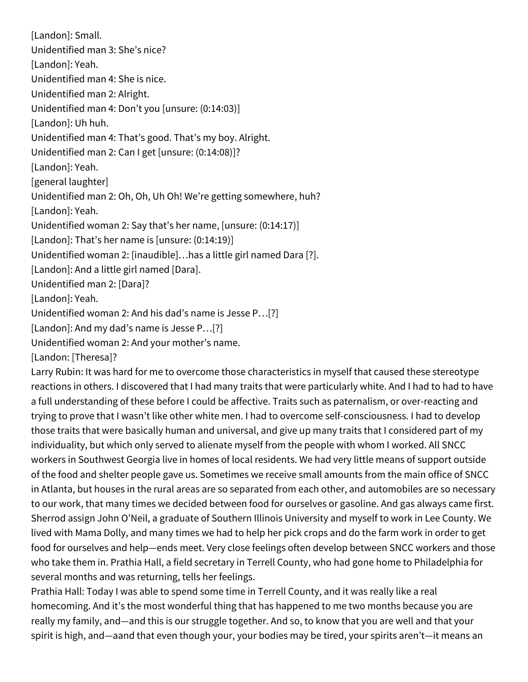[Landon]: Small. Unidentified man 3: She's nice? [Landon]: Yeah. Unidentified man 4: She is nice. Unidentified man 2: Alright. Unidentified man 4: Don't you [unsure: (0:14:03)] [Landon]: Uh huh. Unidentified man 4: That's good. That's my boy. Alright. Unidentified man 2: Can I get [unsure: (0:14:08)]? [Landon]: Yeah. [general laughter] Unidentified man 2: Oh, Oh, Uh Oh! We're getting somewhere, huh? [Landon]: Yeah. Unidentified woman 2: Say that's her name, [unsure: (0:14:17)] [Landon]: That's her name is [unsure: (0:14:19)] Unidentified woman 2: [inaudible]…has a little girl named Dara [?]. [Landon]: And a little girl named [Dara]. Unidentified man 2: [Dara]? [Landon]: Yeah. Unidentified woman 2: And his dad's name is Jesse P…[?] [Landon]: And my dad's name is Jesse P…[?] Unidentified woman 2: And your mother's name. [Landon: [Theresa]?

Larry Rubin: It was hard for me to overcome those characteristics in myself that caused these stereotype reactions in others. I discovered that I had many traits that were particularly white. And I had to had to have a full understanding of these before I could be affective. Traits such as paternalism, or over-reacting and trying to prove that I wasn't like other white men. I had to overcome self-consciousness. I had to develop those traits that were basically human and universal, and give up many traits that I considered part of my individuality, but which only served to alienate myself from the people with whom I worked. All SNCC workers in Southwest Georgia live in homes of local residents. We had very little means of support outside of the food and shelter people gave us. Sometimes we receive small amounts from the main office of SNCC in Atlanta, but houses in the rural areas are so separated from each other, and automobiles are so necessary to our work, that many times we decided between food for ourselves or gasoline. And gas always came first. Sherrod assign John O'Neil, a graduate of Southern Illinois University and myself to work in Lee County. We lived with Mama Dolly, and many times we had to help her pick crops and do the farm work in order to get food for ourselves and help—ends meet. Very close feelings often develop between SNCC workers and those who take them in. Prathia Hall, a field secretary in Terrell County, who had gone home to Philadelphia for several months and was returning, tells her feelings.

Prathia Hall: Today I was able to spend some time in Terrell County, and it was really like a real homecoming. And it's the most wonderful thing that has happened to me two months because you are really my family, and—and this is our struggle together. And so, to know that you are well and that your spirit is high, and—aand that even though your, your bodies may be tired, your spirits aren't—it means an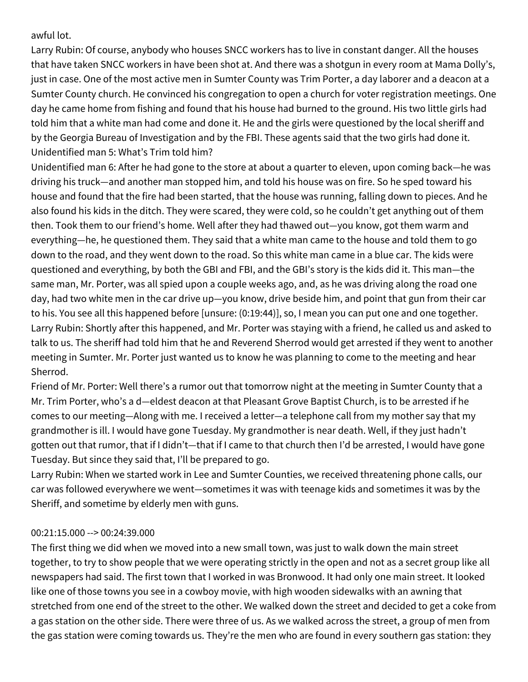awful lot.

Larry Rubin: Of course, anybody who houses SNCC workers has to live in constant danger. All the houses that have taken SNCC workers in have been shot at. And there was a shotgun in every room at Mama Dolly's, just in case. One of the most active men in Sumter County was Trim Porter, a day laborer and a deacon at a Sumter County church. He convinced his congregation to open a church for voter registration meetings. One day he came home from fishing and found that his house had burned to the ground. His two little girls had told him that a white man had come and done it. He and the girls were questioned by the local sheriff and by the Georgia Bureau of Investigation and by the FBI. These agents said that the two girls had done it. Unidentified man 5: What's Trim told him?

Unidentified man 6: After he had gone to the store at about a quarter to eleven, upon coming back—he was driving his truck—and another man stopped him, and told his house was on fire. So he sped toward his house and found that the fire had been started, that the house was running, falling down to pieces. And he also found his kids in the ditch. They were scared, they were cold, so he couldn't get anything out of them then. Took them to our friend's home. Well after they had thawed out—you know, got them warm and everything—he, he questioned them. They said that a white man came to the house and told them to go down to the road, and they went down to the road. So this white man came in a blue car. The kids were questioned and everything, by both the GBI and FBI, and the GBI's story is the kids did it. This man—the same man, Mr. Porter, was all spied upon a couple weeks ago, and, as he was driving along the road one day, had two white men in the car drive up—you know, drive beside him, and point that gun from their car to his. You see all this happened before [unsure: (0:19:44)], so, I mean you can put one and one together. Larry Rubin: Shortly after this happened, and Mr. Porter was staying with a friend, he called us and asked to talk to us. The sheriff had told him that he and Reverend Sherrod would get arrested if they went to another meeting in Sumter. Mr. Porter just wanted us to know he was planning to come to the meeting and hear Sherrod.

Friend of Mr. Porter: Well there's a rumor out that tomorrow night at the meeting in Sumter County that a Mr. Trim Porter, who's a d—eldest deacon at that Pleasant Grove Baptist Church, is to be arrested if he comes to our meeting—Along with me. I received a letter—a telephone call from my mother say that my grandmother is ill. I would have gone Tuesday. My grandmother is near death. Well, if they just hadn't gotten out that rumor, that if I didn't—that if I came to that church then I'd be arrested, I would have gone Tuesday. But since they said that, I'll be prepared to go.

Larry Rubin: When we started work in Lee and Sumter Counties, we received threatening phone calls, our car was followed everywhere we went—sometimes it was with teenage kids and sometimes it was by the Sheriff, and sometime by elderly men with guns.

## 00:21:15.000 --> 00:24:39.000

The first thing we did when we moved into a new small town, was just to walk down the main street together, to try to show people that we were operating strictly in the open and not as a secret group like all newspapers had said. The first town that I worked in was Bronwood. It had only one main street. It looked like one of those towns you see in a cowboy movie, with high wooden sidewalks with an awning that stretched from one end of the street to the other. We walked down the street and decided to get a coke from a gas station on the other side. There were three of us. As we walked across the street, a group of men from the gas station were coming towards us. They're the men who are found in every southern gas station: they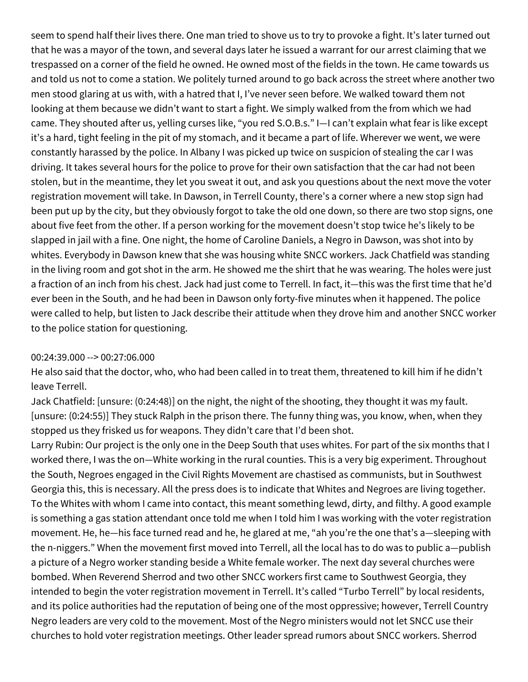seem to spend half their lives there. One man tried to shove us to try to provoke a fight. It's later turned out that he was a mayor of the town, and several days later he issued a warrant for our arrest claiming that we trespassed on a corner of the field he owned. He owned most of the fields in the town. He came towards us and told us not to come a station. We politely turned around to go back across the street where another two men stood glaring at us with, with a hatred that I, I've never seen before. We walked toward them not looking at them because we didn't want to start a fight. We simply walked from the from which we had came. They shouted after us, yelling curses like, "you red S.O.B.s." I—I can't explain what fear is like except it's a hard, tight feeling in the pit of my stomach, and it became a part of life. Wherever we went, we were constantly harassed by the police. In Albany I was picked up twice on suspicion of stealing the car I was driving. It takes several hours for the police to prove for their own satisfaction that the car had not been stolen, but in the meantime, they let you sweat it out, and ask you questions about the next move the voter registration movement will take. In Dawson, in Terrell County, there's a corner where a new stop sign had been put up by the city, but they obviously forgot to take the old one down, so there are two stop signs, one about five feet from the other. If a person working for the movement doesn't stop twice he's likely to be slapped in jail with a fine. One night, the home of Caroline Daniels, a Negro in Dawson, was shot into by whites. Everybody in Dawson knew that she was housing white SNCC workers. Jack Chatfield was standing in the living room and got shot in the arm. He showed me the shirt that he was wearing. The holes were just a fraction of an inch from his chest. Jack had just come to Terrell. In fact, it—this was the first time that he'd ever been in the South, and he had been in Dawson only forty-five minutes when it happened. The police were called to help, but listen to Jack describe their attitude when they drove him and another SNCC worker to the police station for questioning.

## 00:24:39.000 --> 00:27:06.000

He also said that the doctor, who, who had been called in to treat them, threatened to kill him if he didn't leave Terrell.

Jack Chatfield: [unsure: (0:24:48)] on the night, the night of the shooting, they thought it was my fault. [unsure: (0:24:55)] They stuck Ralph in the prison there. The funny thing was, you know, when, when they stopped us they frisked us for weapons. They didn't care that I'd been shot.

Larry Rubin: Our project is the only one in the Deep South that uses whites. For part of the six months that I worked there, I was the on—White working in the rural counties. This is a very big experiment. Throughout the South, Negroes engaged in the Civil Rights Movement are chastised as communists, but in Southwest Georgia this, this is necessary. All the press does is to indicate that Whites and Negroes are living together. To the Whites with whom I came into contact, this meant something lewd, dirty, and filthy. A good example is something a gas station attendant once told me when I told him I was working with the voter registration movement. He, he—his face turned read and he, he glared at me, "ah you're the one that's a—sleeping with the n-niggers." When the movement first moved into Terrell, all the local has to do was to public a—publish a picture of a Negro worker standing beside a White female worker. The next day several churches were bombed. When Reverend Sherrod and two other SNCC workers first came to Southwest Georgia, they intended to begin the voter registration movement in Terrell. It's called "Turbo Terrell" by local residents, and its police authorities had the reputation of being one of the most oppressive; however, Terrell Country Negro leaders are very cold to the movement. Most of the Negro ministers would not let SNCC use their churches to hold voter registration meetings. Other leader spread rumors about SNCC workers. Sherrod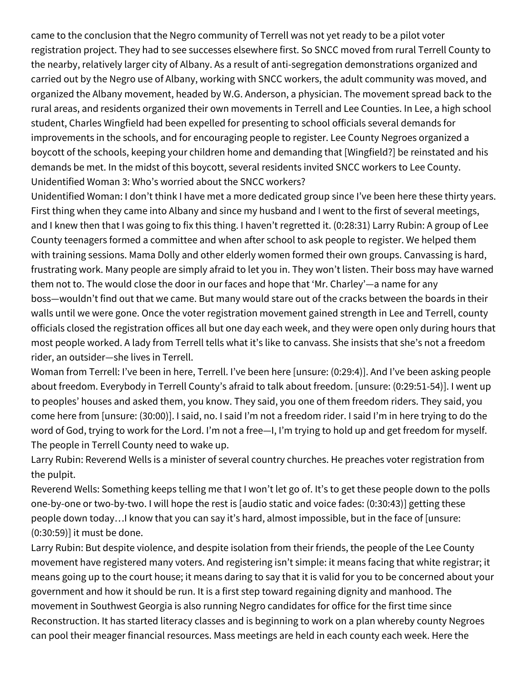came to the conclusion that the Negro community of Terrell was not yet ready to be a pilot voter registration project. They had to see successes elsewhere first. So SNCC moved from rural Terrell County to the nearby, relatively larger city of Albany. As a result of anti-segregation demonstrations organized and carried out by the Negro use of Albany, working with SNCC workers, the adult community was moved, and organized the Albany movement, headed by W.G. Anderson, a physician. The movement spread back to the rural areas, and residents organized their own movements in Terrell and Lee Counties. In Lee, a high school student, Charles Wingfield had been expelled for presenting to school officials several demands for improvements in the schools, and for encouraging people to register. Lee County Negroes organized a boycott of the schools, keeping your children home and demanding that [Wingfield?] be reinstated and his demands be met. In the midst of this boycott, several residents invited SNCC workers to Lee County. Unidentified Woman 3: Who's worried about the SNCC workers?

Unidentified Woman: I don't think I have met a more dedicated group since I've been here these thirty years. First thing when they came into Albany and since my husband and I went to the first of several meetings, and I knew then that I was going to fix this thing. I haven't regretted it. (0:28:31) Larry Rubin: A group of Lee County teenagers formed a committee and when after school to ask people to register. We helped them with training sessions. Mama Dolly and other elderly women formed their own groups. Canvassing is hard, frustrating work. Many people are simply afraid to let you in. They won't listen. Their boss may have warned them not to. The would close the door in our faces and hope that 'Mr. Charley'—a name for any boss—wouldn't find out that we came. But many would stare out of the cracks between the boards in their walls until we were gone. Once the voter registration movement gained strength in Lee and Terrell, county officials closed the registration offices all but one day each week, and they were open only during hours that most people worked. A lady from Terrell tells what it's like to canvass. She insists that she's not a freedom rider, an outsider—she lives in Terrell.

Woman from Terrell: I've been in here, Terrell. I've been here [unsure: (0:29:4)]. And I've been asking people about freedom. Everybody in Terrell County's afraid to talk about freedom. [unsure: (0:29:51-54)]. I went up to peoples' houses and asked them, you know. They said, you one of them freedom riders. They said, you come here from [unsure: (30:00)]. I said, no. I said I'm not a freedom rider. I said I'm in here trying to do the word of God, trying to work for the Lord. I'm not a free—I, I'm trying to hold up and get freedom for myself. The people in Terrell County need to wake up.

Larry Rubin: Reverend Wells is a minister of several country churches. He preaches voter registration from the pulpit.

Reverend Wells: Something keeps telling me that I won't let go of. It's to get these people down to the polls one-by-one or two-by-two. I will hope the rest is [audio static and voice fades: (0:30:43)] getting these people down today…I know that you can say it's hard, almost impossible, but in the face of [unsure: (0:30:59)] it must be done.

Larry Rubin: But despite violence, and despite isolation from their friends, the people of the Lee County movement have registered many voters. And registering isn't simple: it means facing that white registrar; it means going up to the court house; it means daring to say that it is valid for you to be concerned about your government and how it should be run. It is a first step toward regaining dignity and manhood. The movement in Southwest Georgia is also running Negro candidates for office for the first time since Reconstruction. It has started literacy classes and is beginning to work on a plan whereby county Negroes can pool their meager financial resources. Mass meetings are held in each county each week. Here the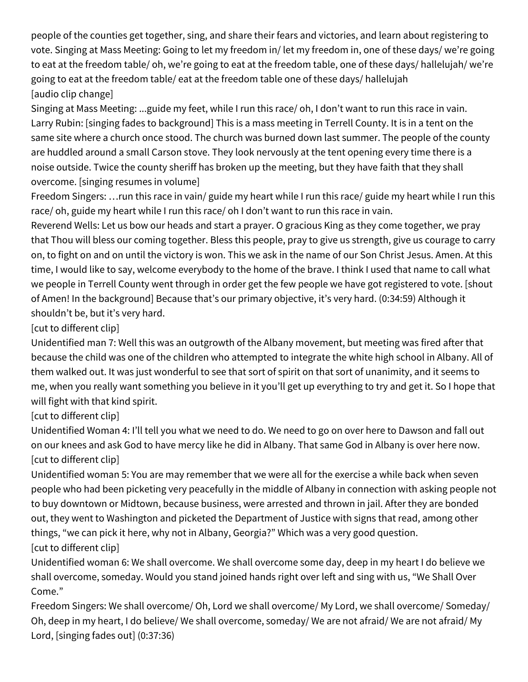people of the counties get together, sing, and share their fears and victories, and learn about registering to vote. Singing at Mass Meeting: Going to let my freedom in/ let my freedom in, one of these days/ we're going to eat at the freedom table/ oh, we're going to eat at the freedom table, one of these days/ hallelujah/ we're going to eat at the freedom table/ eat at the freedom table one of these days/ hallelujah [audio clip change]

Singing at Mass Meeting: ...guide my feet, while I run this race/ oh, I don't want to run this race in vain. Larry Rubin: [singing fades to background] This is a mass meeting in Terrell County. It is in a tent on the same site where a church once stood. The church was burned down last summer. The people of the county are huddled around a small Carson stove. They look nervously at the tent opening every time there is a noise outside. Twice the county sheriff has broken up the meeting, but they have faith that they shall overcome. [singing resumes in volume]

Freedom Singers: …run this race in vain/ guide my heart while I run this race/ guide my heart while I run this race/ oh, guide my heart while I run this race/ oh I don't want to run this race in vain.

Reverend Wells: Let us bow our heads and start a prayer. O gracious King as they come together, we pray that Thou will bless our coming together. Bless this people, pray to give us strength, give us courage to carry on, to fight on and on until the victory is won. This we ask in the name of our Son Christ Jesus. Amen. At this time, I would like to say, welcome everybody to the home of the brave. I think I used that name to call what we people in Terrell County went through in order get the few people we have got registered to vote. [shout of Amen! In the background] Because that's our primary objective, it's very hard. (0:34:59) Although it shouldn't be, but it's very hard.

[cut to different clip]

Unidentified man 7: Well this was an outgrowth of the Albany movement, but meeting was fired after that because the child was one of the children who attempted to integrate the white high school in Albany. All of them walked out. It was just wonderful to see that sort of spirit on that sort of unanimity, and it seems to me, when you really want something you believe in it you'll get up everything to try and get it. So I hope that will fight with that kind spirit.

[cut to different clip]

Unidentified Woman 4: I'll tell you what we need to do. We need to go on over here to Dawson and fall out on our knees and ask God to have mercy like he did in Albany. That same God in Albany is over here now. [cut to different clip]

Unidentified woman 5: You are may remember that we were all for the exercise a while back when seven people who had been picketing very peacefully in the middle of Albany in connection with asking people not to buy downtown or Midtown, because business, were arrested and thrown in jail. After they are bonded out, they went to Washington and picketed the Department of Justice with signs that read, among other things, "we can pick it here, why not in Albany, Georgia?" Which was a very good question. [cut to different clip]

Unidentified woman 6: We shall overcome. We shall overcome some day, deep in my heart I do believe we shall overcome, someday. Would you stand joined hands right over left and sing with us, "We Shall Over Come."

Freedom Singers: We shall overcome/ Oh, Lord we shall overcome/ My Lord, we shall overcome/ Someday/ Oh, deep in my heart, I do believe/ We shall overcome, someday/ We are not afraid/ We are not afraid/ My Lord, [singing fades out] (0:37:36)